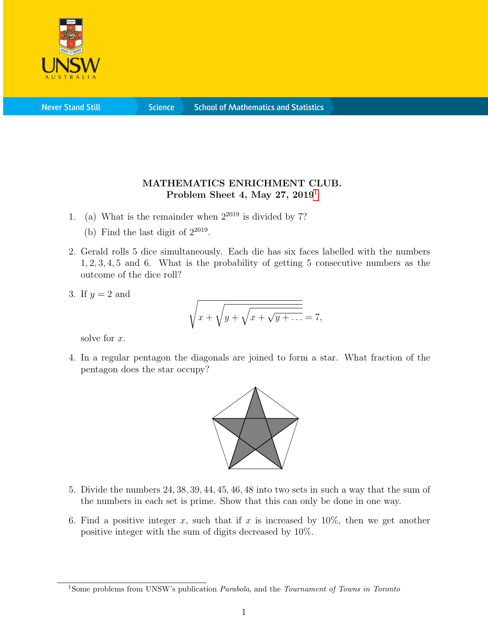

**Science** 

## MATHEMATICS ENRICHMENT CLUB. Problem Sheet 4, May 27,  $2019<sup>1</sup>$  $2019<sup>1</sup>$  $2019<sup>1</sup>$

- 1. (a) What is the remainder when  $2^{2019}$  is divided by 7?
	- (b) Find the last digit of  $2^{2019}$ .
- 2. Gerald rolls 5 dice simultaneously. Each die has six faces labelled with the numbers 1, 2, 3, 4, 5 and 6. What is the probability of getting 5 consecutive numbers as the outcome of the dice roll?
- 3. If  $y = 2$  and

$$
\sqrt{x + \sqrt{y + \sqrt{x + \sqrt{y + \dots}}}} = 7,
$$

solve for x.

4. In a regular pentagon the diagonals are joined to form a star. What fraction of the pentagon does the star occupy?



- 5. Divide the numbers 24, 38, 39, 44, 45, 46, 48 into two sets in such a way that the sum of the numbers in each set is prime. Show that this can only be done in one way.
- 6. Find a positive integer x, such that if x is increased by  $10\%$ , then we get another positive integer with the sum of digits decreased by 10%.

<span id="page-0-0"></span><sup>&</sup>lt;sup>1</sup>Some problems from UNSW's publication *Parabola*, and the *Tournament of Towns in Toronto*